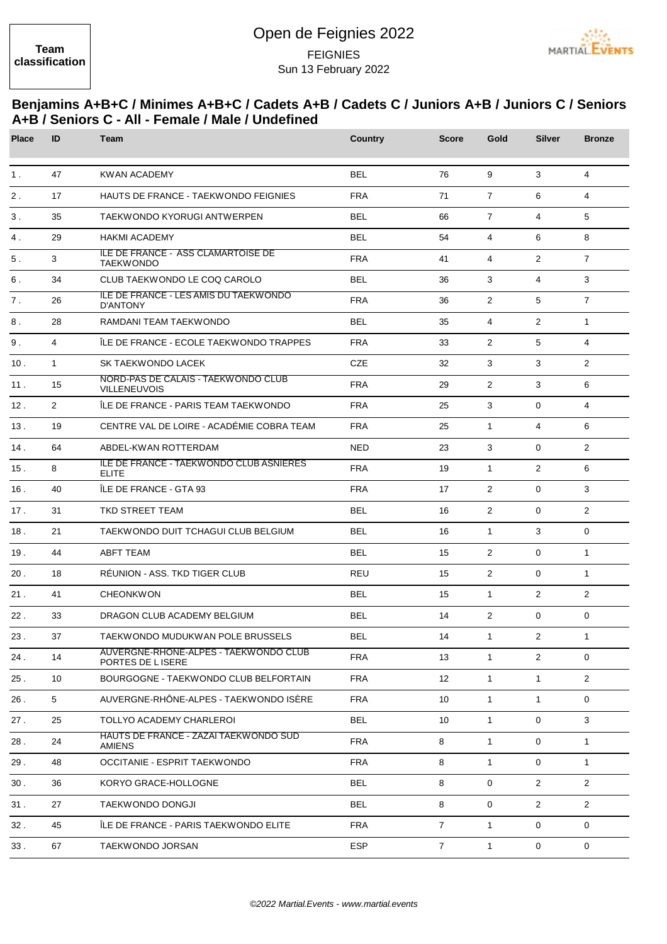## Open de Feignies 2022 FEIGNIES Sun 13 February 2022



## **Benjamins A+B+C / Minimes A+B+C / Cadets A+B / Cadets C / Juniors A+B / Juniors C / Seniors A+B / Seniors C - All - Female / Male / Undefined**

| <b>Place</b>   | ID             | Team                                                          | <b>Country</b> | <b>Score</b>   | Gold           | <b>Silver</b>  | <b>Bronze</b>  |
|----------------|----------------|---------------------------------------------------------------|----------------|----------------|----------------|----------------|----------------|
| 1 <sub>1</sub> | 47             | <b>KWAN ACADEMY</b>                                           | <b>BEL</b>     | 76             | 9              | 3              | $\overline{4}$ |
| $2$ .          | 17             | <b>HAUTS DE FRANCE - TAEKWONDO FEIGNIES</b>                   | <b>FRA</b>     | 71             | $\overline{7}$ | 6              | 4              |
| $3$ .          | 35             | TAEKWONDO KYORUGI ANTWERPEN                                   | <b>BEL</b>     | 66             | $\overline{7}$ | $\overline{4}$ | 5              |
| 4.             | 29             | <b>HAKMI ACADEMY</b>                                          | <b>BEL</b>     | 54             | $\overline{4}$ | 6              | 8              |
| 5.             | 3              | <b>ILE DE FRANCE - ASS CLAMARTOISE DE</b><br><b>TAEKWONDO</b> | <b>FRA</b>     | 41             | $\overline{4}$ | $\overline{2}$ | $\overline{7}$ |
| 6.             | 34             | CLUB TAEKWONDO LE COQ CAROLO                                  | <b>BEL</b>     | 36             | 3              | 4              | 3              |
| 7.             | 26             | ILE DE FRANCE - LES AMIS DU TAEKWONDO<br><b>D'ANTONY</b>      | <b>FRA</b>     | 36             | $\overline{2}$ | 5              | $\overline{7}$ |
| 8.             | 28             | RAMDANI TEAM TAEKWONDO                                        | <b>BEL</b>     | 35             | $\overline{4}$ | $\overline{2}$ | $\mathbf{1}$   |
| 9.             | $\overline{4}$ | ÎLE DE FRANCE - ECOLE TAEKWONDO TRAPPES                       | <b>FRA</b>     | 33             | 2              | 5              | $\overline{4}$ |
| 10.            | $\mathbf{1}$   | SK TAEKWONDO LACEK                                            | <b>CZE</b>     | 32             | 3              | 3              | $\overline{2}$ |
| 11.            | 15             | NORD-PAS DE CALAIS - TAEKWONDO CLUB<br><b>VILLENEUVOIS</b>    | <b>FRA</b>     | 29             | 2              | 3              | 6              |
| 12.            | $\overline{2}$ | ÎLE DE FRANCE - PARIS TEAM TAEKWONDO                          | <b>FRA</b>     | 25             | 3              | $\mathbf{0}$   | $\overline{4}$ |
| 13.            | 19             | CENTRE VAL DE LOIRE - ACADÉMIE COBRA TEAM                     | <b>FRA</b>     | 25             | $\mathbf{1}$   | $\overline{4}$ | 6              |
| 14.            | 64             | ABDEL-KWAN ROTTERDAM                                          | <b>NED</b>     | 23             | 3              | $\mathbf{0}$   | 2              |
| 15.            | 8              | ILE DE FRANCE - TAEKWONDO CLUB ASNIERES<br><b>ELITE</b>       | <b>FRA</b>     | 19             | $\mathbf{1}$   | $\overline{2}$ | 6              |
| 16.            | 40             | ÎLE DE FRANCE - GTA 93                                        | <b>FRA</b>     | 17             | $\overline{2}$ | $\mathbf{0}$   | 3              |
| 17.            | 31             | TKD STREET TEAM                                               | <b>BEL</b>     | 16             | $\overline{2}$ | $\mathbf{0}$   | 2              |
| 18.            | 21             | TAEKWONDO DUIT TCHAGUI CLUB BELGIUM                           | <b>BEL</b>     | 16             | $\mathbf{1}$   | 3              | $\mathbf 0$    |
| 19.            | 44             | <b>ABFT TEAM</b>                                              | <b>BEL</b>     | 15             | $\overline{2}$ | $\mathbf 0$    | $\mathbf{1}$   |
| 20.            | 18             | RÉUNION - ASS. TKD TIGER CLUB                                 | REU            | 15             | 2              | $\Omega$       | $\mathbf{1}$   |
| 21.            | 41             | <b>CHEONKWON</b>                                              | <b>BEL</b>     | 15             | $\mathbf{1}$   | $\overline{2}$ | 2              |
| 22.            | 33             | DRAGON CLUB ACADEMY BELGIUM                                   | <b>BEL</b>     | 14             | 2              | $\mathbf 0$    | $\mathbf 0$    |
| 23.            | 37             | TAEKWONDO MUDUKWAN POLE BRUSSELS                              | <b>BEL</b>     | 14             | $\mathbf{1}$   | $\overline{2}$ | $\mathbf{1}$   |
| 24.            | 14             | AUVERGNE-RHONE-ALPES - TAEKWONDO CLUB<br>PORTES DE LISERE     | <b>FRA</b>     | 13             | $\mathbf{1}$   | $\overline{2}$ | $\mathbf 0$    |
| 25.            | 10             | BOURGOGNE - TAEKWONDO CLUB BELFORTAIN                         | <b>FRA</b>     | 12             | $\mathbf{1}$   | $\mathbf{1}$   | $\overline{2}$ |
| 26.            | 5              | AUVERGNE-RHÔNE-ALPES - TAEKWONDO ISÈRE                        | <b>FRA</b>     | 10             | $\mathbf{1}$   | $\mathbf{1}$   | $\mathbf 0$    |
| 27.            | 25             | <b>TOLLYO ACADEMY CHARLEROI</b>                               | <b>BEL</b>     | 10             | $\mathbf{1}$   | 0              | 3              |
| 28.            | 24             | HAUTS DE FRANCE - ZAZAI TAEKWONDO SUD<br><b>AMIENS</b>        | <b>FRA</b>     | 8              | $\mathbf{1}$   | 0              | $\mathbf{1}$   |
| 29.            | 48             | <b>OCCITANIE - ESPRIT TAEKWONDO</b>                           | <b>FRA</b>     | 8              | $\mathbf{1}$   | $\mathbf 0$    | $\mathbf{1}$   |
| 30.            | 36             | KORYO GRACE-HOLLOGNE                                          | <b>BEL</b>     | 8              | $\mathbf 0$    | $\overline{2}$ | $\overline{2}$ |
| 31.            | 27             | TAEKWONDO DONGJI                                              | <b>BEL</b>     | 8              | $\mathbf 0$    | $\overline{2}$ | $\overline{2}$ |
| 32.            | 45             | ÎLE DE FRANCE - PARIS TAEKWONDO ELITE                         | <b>FRA</b>     | $\overline{7}$ | $\mathbf{1}$   | 0              | $\mathbf 0$    |
| 33.            | 67             | TAEKWONDO JORSAN                                              | <b>ESP</b>     | $\overline{7}$ | $\mathbf{1}$   | $\mathbf 0$    | $\mathbf 0$    |